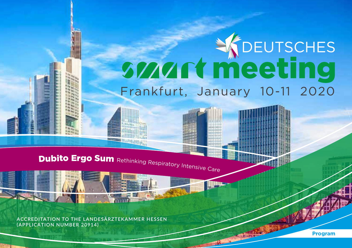# **STANT THE SEUTSCHES** Frankfurt, January 10-11 2020

Dubito Ergo Sum Rethinking Respiratory Intensive Care

**ACCREDITATION TO THE LANDESÄRZTEKAMMER HESSEN (APPLICATION NUMBER 20914)**

**Program**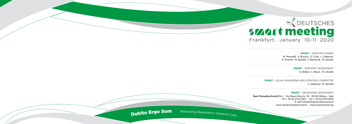## **SWART Meeting** Frankfurt, January 10-11 2020



SMART **– SCIENTIFIC BOARD**

M. Antonelli, A. Braschi, G. Conti, L. Gattinoni, A. Pesenti, M. Quintel, F. Raimondi, M. Senturk

> SMART **– SCIENTIFIC SECRETARIAT** G. Bellani, L. Brazzi, M. Girardis

SMART **– LOCAL ORGANIZING AND SCIENTIFIC COMMITTEE** L. Gattinoni, M. Quintel

SMART **– ORGANIZING SECRETARIAT**

**Start Promotion Eventi S.r.l.** | Via Mauro Macchi, 50 - 20124 Milano – Italy Ph + 39 02 67071383 | Fax + 39 02 67072294 E-mail: info@startpromotioneventi.it www.startpromotioneventi.it | www.smartonweb.org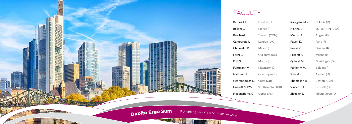| n (UK)      | <b>Karagiannidis C.</b> Colonia (D) |                   |
|-------------|-------------------------------------|-------------------|
| a (I)       | Marini J.J.                         | St. Paul MN (USA) |
| to (CDN)    | Mercat A.                           | Angers (F)        |
| n (UK)      | Payen D.                            | Paris (F)         |
| o (I)       | Pelosi P.                           | Genova (I)        |
| ofrd (UK)   | Pesenti A.                          | Milano (I)        |
| a (I)       | Quintel M.                          | Goettingen (D)    |
| ster (D)    | Ranieri V.M.                        | Bologna (I)       |
| ingen (D)   | Schael S.                           | Aachen (D)        |
| (GR)        | Thompson B.T.                       | Boston (USA)      |
| ampton (UK) | Vincent J.L.                        | Brussels (B)      |
| ıla (S)     | Ziegeler S.                         | Ibbenbueren (D)   |

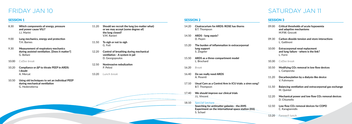## FRIDAY JAN 10 SATURDAY JAN 11

#### SESSION 1

- 8.30 **Which components of energy, pressure and power cause VILI?** J.J. Marini
- 9.00 **Lung mechanics, energy and protection** T.H. Barnes
- 9.30 **Measurement of respiratory mechanics during assisted ventilation. [Does it matter?]** G. Bellani
- 10.00 *Coffee break*
- 10.20 **Compliance or ∆P to titrate PEEP in ARDS: I doubt** A. Mercat
- 10.50 **Using old techniques to set an individual PEEP during mechanical ventilation** G. Hedenstierna
- 11.20 **Should we recruit the lung (no matter what) or we may accept (some degree of) the lung closed?** V.M. Ranieri
- 11.50 **To sigh or not to sigh** G. Foti
- 12.20 **Control of breathing during mechanical ventilation - A system in jail** D. Georgopoulos
- 12.50 **Noninvasive nebulization**  P. Pelosi
- 13.20 *Lunch break*

#### SESSION 3

Experiment on the international spiratory International Section Care international spiratory International Section Care international spiratory International spiratory International spiratory International spiratory Intern **Searching for antimatter galaxies - the AMS Experiment on the international space station (ISS)** S. Schael

- 09.00 **Critical thresholds of acute hypoxemia and adaptive mechanisms** M.P.W. Grocott
- 09.30 **Carbon dioxide tension and store interactions** L. Gattinoni
- 10.00 **Extracorporeal renal replacment and lung failure - where is the link?** L. Forni
- 10.30 *Coffee break*
- 10.50 **Modifying CO2 removal in low flow devices**  L. Camporota
- 11.20 **Decarboxylation by a dialysis-like device**  V. Fuhrmann
- 11.50 **Balancing ventilation and extracorporeal gas exchange**  M. Quintel
- 12.20 **Mechanical power and low flow CO2 removal devices**  D. Chiumello
- 12.50 **Low flow CO2 removal devices for COPD**  C. Karagiannidis
- 13.20 *Farewell lunch*

#### SESSION 2

- 14.20 **Cisatracurium for ARDS: ROSE has thorns**  B.T. Thompson
- 14.50 **ARDS lung sepsis?**  D. Payen
- 15.20 **The burden of inflammation in extracorporeal lung support** S. Ziegeler
- 15.50 **ARDS as a three-compartment model**  L. Brochard
- 16.20 *Break*
- 16.40 **Do we really need ARDS**  A. Pesenti
- 17.10 **Usual Care as a Control Arm in ICU trials: a siren song?**  B.T. Thompson
- 17.40 **We should improve our clinical trials**  J.L. Vincent
- 18.10 *Special Lecture*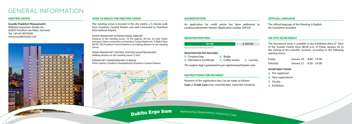#### HOW TO REACH THE MEETING VENUE

The meeting venue is located in the city centre, a 5-minute walk from Frankfurt Central Station and well connected to Frankfurt International Airport.

FROM FRANKFURT INTERNATIONAL AIRPORT Distance to the meeting venue: 12 Km (approx. 20 min. by taxi). Public transport: Direct connection to Frankfurt Central Station by "S-Bahn" lines S8/S9. The Frankfurt Central Station is at walking distance to the meeting venue.

FROM FRANKFURT CENTRAL STATION (HAUPTBAHNHOF) Walking distance to the meeting venue (1 Km).

The Secretariat Desk is available in the Exhibition Area  $(1<sup>st</sup>$  floor of the Scandic Hotel), from 08.00 a.m. of Friday January 10 to the closing of the scientific sessions, according to the following opening hours:

FRANKFURT UNDERGROUND (U-BAHN) Metro station: Frankfurt Hauptbahnhof (Frankfurt Central Station).



#### **ACCREDITATION**

### GENERAL INFORMATION

#### MEETING VENUE

**Scandic Frankfurt Museumsufer**  Wilhelm-Leuschner-Straße 44, 60329 Frankfurt am Main, Germany Tel: +49 69 9074590 www.scandichotels.com



#### OFFICIAL LANGUAGE

The official language of the Meeting is English. No translation provided.

#### ON-SITE SECRETARIAT

| Friday   | January 10 8.00 - 19.00 |
|----------|-------------------------|
| Saturday | January 11 8.30 - 14.00 |

#### **SECRETARIAT DESKS**

- **Pre-registered**
- $\blacksquare$  New registrations
- $\blacksquare$  Faculty
- Exhibitors

An application for credit points has been addressed to Landesarztekammer Hessen (Application number 20914).

#### REGISTRATION FEES

*The congress bag is guaranteed to pre-registered participants only.*

#### INSTRUCTIONS FOR PAYMENT



Payment of the registration fees can be made as follows: **Cash** or **Credit Card** (VISA, MASTERCARD, MAESTRO, MONETA).

**Dubito Ergo Sum** Rethinking Respiratory Intensive Care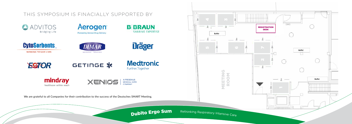